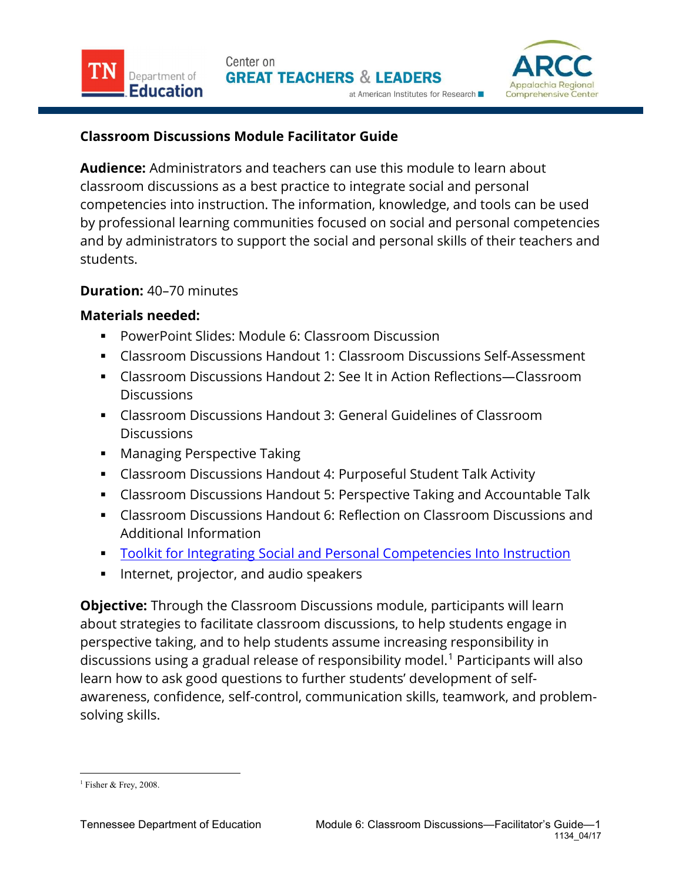

## Classroom Discussions Module Facilitator Guide

Audience: Administrators and teachers can use this module to learn about classroom discussions as a best practice to integrate social and personal competencies into instruction. The information, knowledge, and tools can be used by professional learning communities focused on social and personal competencies and by administrators to support the social and personal skills of their teachers and students.

## Duration: 40–70 minutes

Department of

Education

## Materials needed:

- PowerPoint Slides: Module 6: Classroom Discussion
- Classroom Discussions Handout 1: Classroom Discussions Self-Assessment
- Classroom Discussions Handout 2: See It in Action Reflections—Classroom **Discussions**
- Classroom Discussions Handout 3: General Guidelines of Classroom **Discussions**
- **Managing Perspective Taking**
- Classroom Discussions Handout 4: Purposeful Student Talk Activity
- Classroom Discussions Handout 5: Perspective Taking and Accountable Talk
- Classroom Discussions Handout 6: Reflection on Classroom Discussions and Additional Information
- **Toolkit for Integrating Social and Personal Competencies Into Instruction**
- **Internet, projector, and audio speakers**

**Objective:** Through the Classroom Discussions module, participants will learn about strategies to facilitate classroom discussions, to help students engage in perspective taking, and to help students assume increasing responsibility in discussions using a gradual release of responsibility model.<sup>1</sup> Participants will also learn how to ask good questions to further students' development of selfawareness, confidence, self-control, communication skills, teamwork, and problemsolving skills.

 $\overline{a}$ <sup>1</sup> Fisher & Frey, 2008.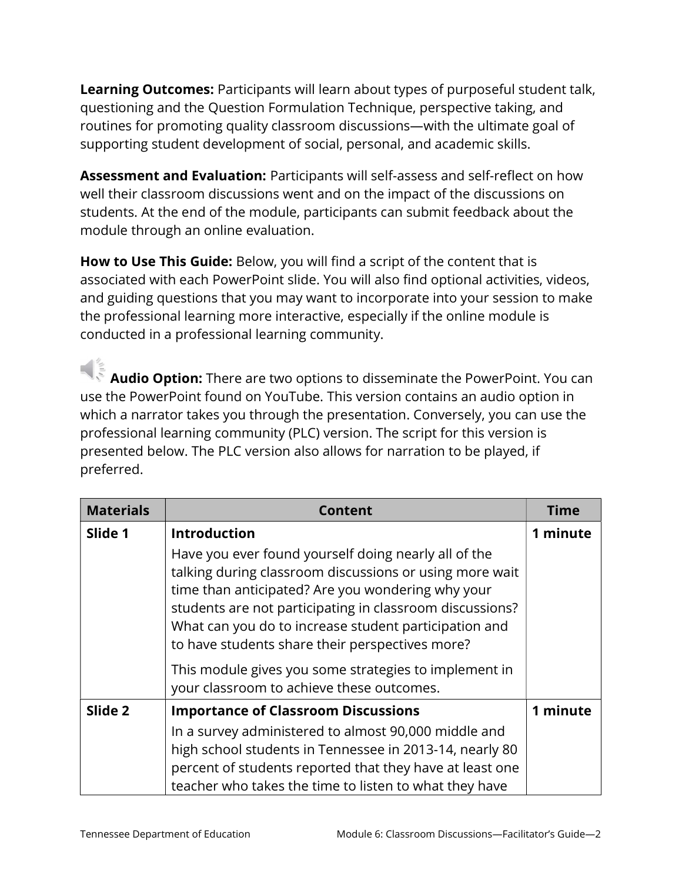Learning Outcomes: Participants will learn about types of purposeful student talk, questioning and the Question Formulation Technique, perspective taking, and routines for promoting quality classroom discussions—with the ultimate goal of supporting student development of social, personal, and academic skills.

Assessment and Evaluation: Participants will self-assess and self-reflect on how well their classroom discussions went and on the impact of the discussions on students. At the end of the module, participants can submit feedback about the module through an online evaluation.

How to Use This Guide: Below, you will find a script of the content that is associated with each PowerPoint slide. You will also find optional activities, videos, and guiding questions that you may want to incorporate into your session to make the professional learning more interactive, especially if the online module is conducted in a professional learning community.

 Audio Option: There are two options to disseminate the PowerPoint. You can use the PowerPoint found on YouTube. This version contains an audio option in which a narrator takes you through the presentation. Conversely, you can use the professional learning community (PLC) version. The script for this version is presented below. The PLC version also allows for narration to be played, if preferred.

| <b>Materials</b> | <b>Content</b>                                                                                                                                                                                                                                                                                                                               | <b>Time</b> |
|------------------|----------------------------------------------------------------------------------------------------------------------------------------------------------------------------------------------------------------------------------------------------------------------------------------------------------------------------------------------|-------------|
| Slide 1          | <b>Introduction</b>                                                                                                                                                                                                                                                                                                                          | 1 minute    |
|                  | Have you ever found yourself doing nearly all of the<br>talking during classroom discussions or using more wait<br>time than anticipated? Are you wondering why your<br>students are not participating in classroom discussions?<br>What can you do to increase student participation and<br>to have students share their perspectives more? |             |
|                  | This module gives you some strategies to implement in<br>your classroom to achieve these outcomes.                                                                                                                                                                                                                                           |             |
| Slide 2          | <b>Importance of Classroom Discussions</b>                                                                                                                                                                                                                                                                                                   | 1 minute    |
|                  | In a survey administered to almost 90,000 middle and<br>high school students in Tennessee in 2013-14, nearly 80<br>percent of students reported that they have at least one<br>teacher who takes the time to listen to what they have                                                                                                        |             |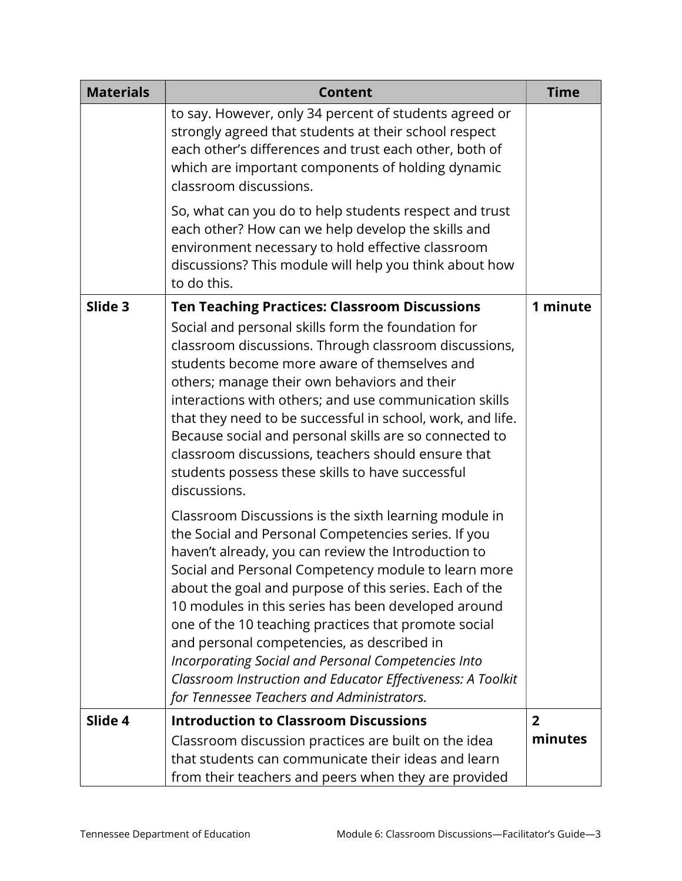| <b>Materials</b> | <b>Content</b>                                                                                                                                                                                                                                                                                                                                                                                                                                                                                                                                                                                                                                                                                                                                                                                                                                                                                                                                                                         | <b>Time</b>               |
|------------------|----------------------------------------------------------------------------------------------------------------------------------------------------------------------------------------------------------------------------------------------------------------------------------------------------------------------------------------------------------------------------------------------------------------------------------------------------------------------------------------------------------------------------------------------------------------------------------------------------------------------------------------------------------------------------------------------------------------------------------------------------------------------------------------------------------------------------------------------------------------------------------------------------------------------------------------------------------------------------------------|---------------------------|
|                  | to say. However, only 34 percent of students agreed or<br>strongly agreed that students at their school respect<br>each other's differences and trust each other, both of<br>which are important components of holding dynamic<br>classroom discussions.                                                                                                                                                                                                                                                                                                                                                                                                                                                                                                                                                                                                                                                                                                                               |                           |
|                  | So, what can you do to help students respect and trust<br>each other? How can we help develop the skills and<br>environment necessary to hold effective classroom<br>discussions? This module will help you think about how<br>to do this.                                                                                                                                                                                                                                                                                                                                                                                                                                                                                                                                                                                                                                                                                                                                             |                           |
| Slide 3          | <b>Ten Teaching Practices: Classroom Discussions</b><br>Social and personal skills form the foundation for<br>classroom discussions. Through classroom discussions,<br>students become more aware of themselves and<br>others; manage their own behaviors and their<br>interactions with others; and use communication skills<br>that they need to be successful in school, work, and life.<br>Because social and personal skills are so connected to<br>classroom discussions, teachers should ensure that<br>students possess these skills to have successful<br>discussions.<br>Classroom Discussions is the sixth learning module in<br>the Social and Personal Competencies series. If you<br>haven't already, you can review the Introduction to<br>Social and Personal Competency module to learn more<br>about the goal and purpose of this series. Each of the<br>10 modules in this series has been developed around<br>one of the 10 teaching practices that promote social | 1 minute                  |
|                  | and personal competencies, as described in<br>Incorporating Social and Personal Competencies Into<br>Classroom Instruction and Educator Effectiveness: A Toolkit<br>for Tennessee Teachers and Administrators.                                                                                                                                                                                                                                                                                                                                                                                                                                                                                                                                                                                                                                                                                                                                                                         |                           |
| Slide 4          | <b>Introduction to Classroom Discussions</b><br>Classroom discussion practices are built on the idea<br>that students can communicate their ideas and learn<br>from their teachers and peers when they are provided                                                                                                                                                                                                                                                                                                                                                                                                                                                                                                                                                                                                                                                                                                                                                                    | $\overline{2}$<br>minutes |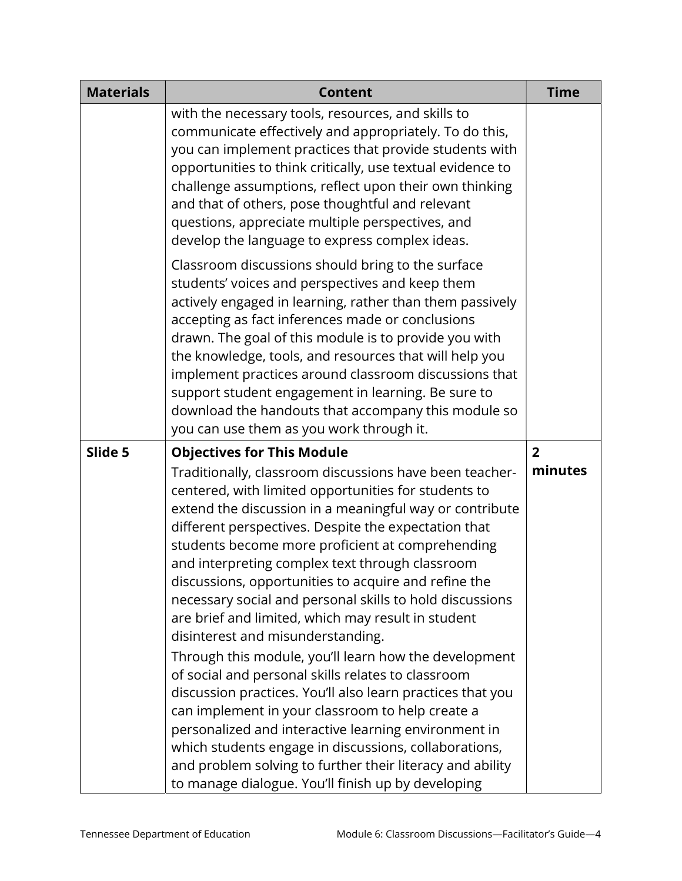| <b>Materials</b> | <b>Content</b>                                                                                                                                                                                                                                                                                                                                                                                                                                                                                                                                                                                                                                                                                                                                                                                                                                                                                                                                                          | <b>Time</b>    |
|------------------|-------------------------------------------------------------------------------------------------------------------------------------------------------------------------------------------------------------------------------------------------------------------------------------------------------------------------------------------------------------------------------------------------------------------------------------------------------------------------------------------------------------------------------------------------------------------------------------------------------------------------------------------------------------------------------------------------------------------------------------------------------------------------------------------------------------------------------------------------------------------------------------------------------------------------------------------------------------------------|----------------|
|                  | with the necessary tools, resources, and skills to<br>communicate effectively and appropriately. To do this,<br>you can implement practices that provide students with<br>opportunities to think critically, use textual evidence to<br>challenge assumptions, reflect upon their own thinking<br>and that of others, pose thoughtful and relevant<br>questions, appreciate multiple perspectives, and<br>develop the language to express complex ideas.                                                                                                                                                                                                                                                                                                                                                                                                                                                                                                                |                |
|                  | Classroom discussions should bring to the surface<br>students' voices and perspectives and keep them<br>actively engaged in learning, rather than them passively<br>accepting as fact inferences made or conclusions<br>drawn. The goal of this module is to provide you with<br>the knowledge, tools, and resources that will help you<br>implement practices around classroom discussions that<br>support student engagement in learning. Be sure to<br>download the handouts that accompany this module so<br>you can use them as you work through it.                                                                                                                                                                                                                                                                                                                                                                                                               |                |
| Slide 5          | <b>Objectives for This Module</b>                                                                                                                                                                                                                                                                                                                                                                                                                                                                                                                                                                                                                                                                                                                                                                                                                                                                                                                                       | $\overline{2}$ |
|                  | Traditionally, classroom discussions have been teacher-<br>centered, with limited opportunities for students to<br>extend the discussion in a meaningful way or contribute<br>different perspectives. Despite the expectation that<br>students become more proficient at comprehending<br>and interpreting complex text through classroom<br>discussions, opportunities to acquire and refine the<br>necessary social and personal skills to hold discussions<br>are brief and limited, which may result in student<br>disinterest and misunderstanding.<br>Through this module, you'll learn how the development<br>of social and personal skills relates to classroom<br>discussion practices. You'll also learn practices that you<br>can implement in your classroom to help create a<br>personalized and interactive learning environment in<br>which students engage in discussions, collaborations,<br>and problem solving to further their literacy and ability | minutes        |
|                  | to manage dialogue. You'll finish up by developing                                                                                                                                                                                                                                                                                                                                                                                                                                                                                                                                                                                                                                                                                                                                                                                                                                                                                                                      |                |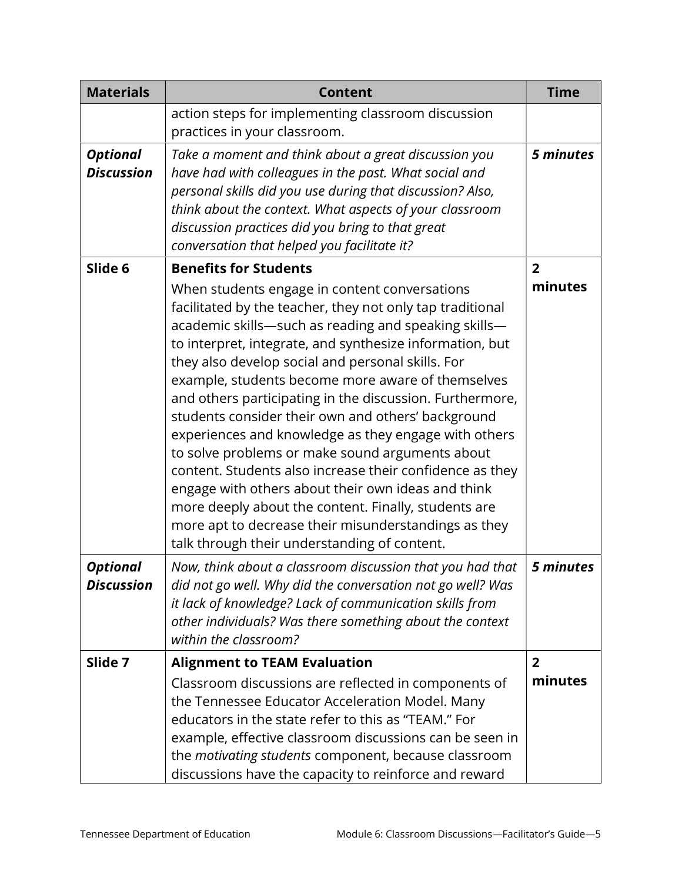| <b>Materials</b>                     | <b>Content</b>                                                                                                                                                                                                                                                                                                                                                                                                                                                                                                                                                                                                                                                                                                                                                                                                                                                                          | <b>Time</b>               |
|--------------------------------------|-----------------------------------------------------------------------------------------------------------------------------------------------------------------------------------------------------------------------------------------------------------------------------------------------------------------------------------------------------------------------------------------------------------------------------------------------------------------------------------------------------------------------------------------------------------------------------------------------------------------------------------------------------------------------------------------------------------------------------------------------------------------------------------------------------------------------------------------------------------------------------------------|---------------------------|
|                                      | action steps for implementing classroom discussion<br>practices in your classroom.                                                                                                                                                                                                                                                                                                                                                                                                                                                                                                                                                                                                                                                                                                                                                                                                      |                           |
| <b>Optional</b><br><b>Discussion</b> | Take a moment and think about a great discussion you<br>have had with colleagues in the past. What social and<br>personal skills did you use during that discussion? Also,<br>think about the context. What aspects of your classroom<br>discussion practices did you bring to that great<br>conversation that helped you facilitate it?                                                                                                                                                                                                                                                                                                                                                                                                                                                                                                                                                | 5 minutes                 |
| Slide 6                              | <b>Benefits for Students</b><br>When students engage in content conversations<br>facilitated by the teacher, they not only tap traditional<br>academic skills-such as reading and speaking skills-<br>to interpret, integrate, and synthesize information, but<br>they also develop social and personal skills. For<br>example, students become more aware of themselves<br>and others participating in the discussion. Furthermore,<br>students consider their own and others' background<br>experiences and knowledge as they engage with others<br>to solve problems or make sound arguments about<br>content. Students also increase their confidence as they<br>engage with others about their own ideas and think<br>more deeply about the content. Finally, students are<br>more apt to decrease their misunderstandings as they<br>talk through their understanding of content. | $\overline{2}$<br>minutes |
| <b>Optional</b><br><b>Discussion</b> | Now, think about a classroom discussion that you had that<br>did not go well. Why did the conversation not go well? Was<br>it lack of knowledge? Lack of communication skills from<br>other individuals? Was there something about the context<br>within the classroom?                                                                                                                                                                                                                                                                                                                                                                                                                                                                                                                                                                                                                 | 5 minutes                 |
| Slide 7                              | <b>Alignment to TEAM Evaluation</b>                                                                                                                                                                                                                                                                                                                                                                                                                                                                                                                                                                                                                                                                                                                                                                                                                                                     | $\overline{2}$            |
|                                      | Classroom discussions are reflected in components of<br>the Tennessee Educator Acceleration Model. Many<br>educators in the state refer to this as "TEAM." For<br>example, effective classroom discussions can be seen in<br>the motivating students component, because classroom<br>discussions have the capacity to reinforce and reward                                                                                                                                                                                                                                                                                                                                                                                                                                                                                                                                              | minutes                   |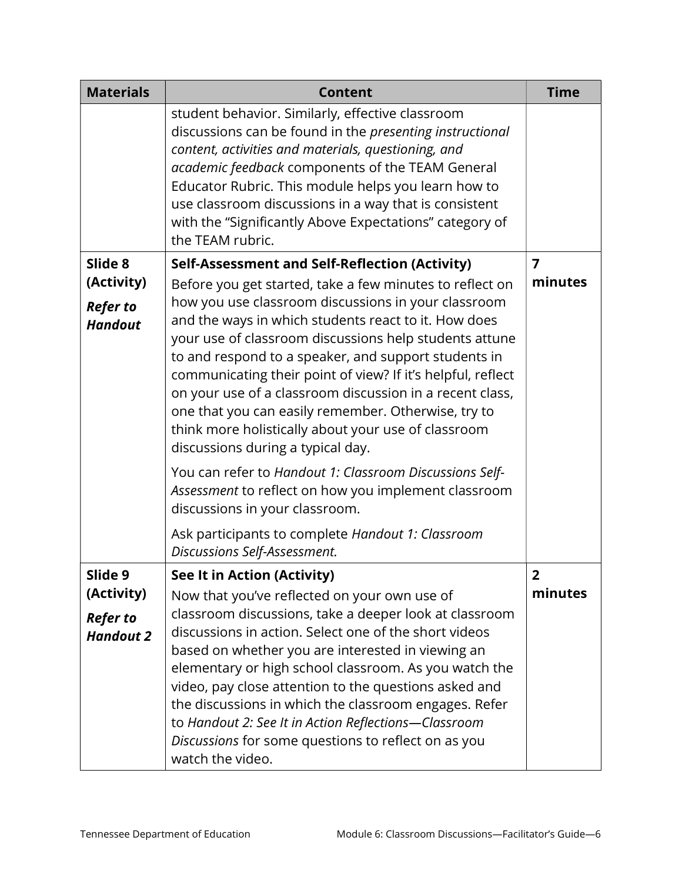| <b>Materials</b>                                | <b>Content</b>                                                                                                                                                                                                                                                                                                                                                                                                         | <b>Time</b> |
|-------------------------------------------------|------------------------------------------------------------------------------------------------------------------------------------------------------------------------------------------------------------------------------------------------------------------------------------------------------------------------------------------------------------------------------------------------------------------------|-------------|
|                                                 | student behavior. Similarly, effective classroom<br>discussions can be found in the presenting instructional<br>content, activities and materials, questioning, and<br>academic feedback components of the TEAM General<br>Educator Rubric. This module helps you learn how to<br>use classroom discussions in a way that is consistent<br>with the "Significantly Above Expectations" category of<br>the TEAM rubric. |             |
| Slide 8                                         | <b>Self-Assessment and Self-Reflection (Activity)</b>                                                                                                                                                                                                                                                                                                                                                                  | 7           |
| (Activity)<br><b>Refer to</b><br><b>Handout</b> | Before you get started, take a few minutes to reflect on<br>how you use classroom discussions in your classroom<br>and the ways in which students react to it. How does<br>your use of classroom discussions help students attune<br>to and respond to a speaker, and support students in                                                                                                                              | minutes     |
|                                                 | communicating their point of view? If it's helpful, reflect<br>on your use of a classroom discussion in a recent class,<br>one that you can easily remember. Otherwise, try to<br>think more holistically about your use of classroom<br>discussions during a typical day.                                                                                                                                             |             |
|                                                 | You can refer to Handout 1: Classroom Discussions Self-<br>Assessment to reflect on how you implement classroom<br>discussions in your classroom.                                                                                                                                                                                                                                                                      |             |
|                                                 | Ask participants to complete Handout 1: Classroom<br>Discussions Self-Assessment.                                                                                                                                                                                                                                                                                                                                      |             |
| Slide 9                                         | See It in Action (Activity)                                                                                                                                                                                                                                                                                                                                                                                            | 2           |
| (Activity)                                      | Now that you've reflected on your own use of                                                                                                                                                                                                                                                                                                                                                                           | minutes     |
| <b>Refer to</b><br><b>Handout 2</b>             | classroom discussions, take a deeper look at classroom<br>discussions in action. Select one of the short videos<br>based on whether you are interested in viewing an<br>elementary or high school classroom. As you watch the<br>video, pay close attention to the questions asked and<br>the discussions in which the classroom engages. Refer<br>to Handout 2: See It in Action Reflections-Classroom                |             |
|                                                 | Discussions for some questions to reflect on as you<br>watch the video.                                                                                                                                                                                                                                                                                                                                                |             |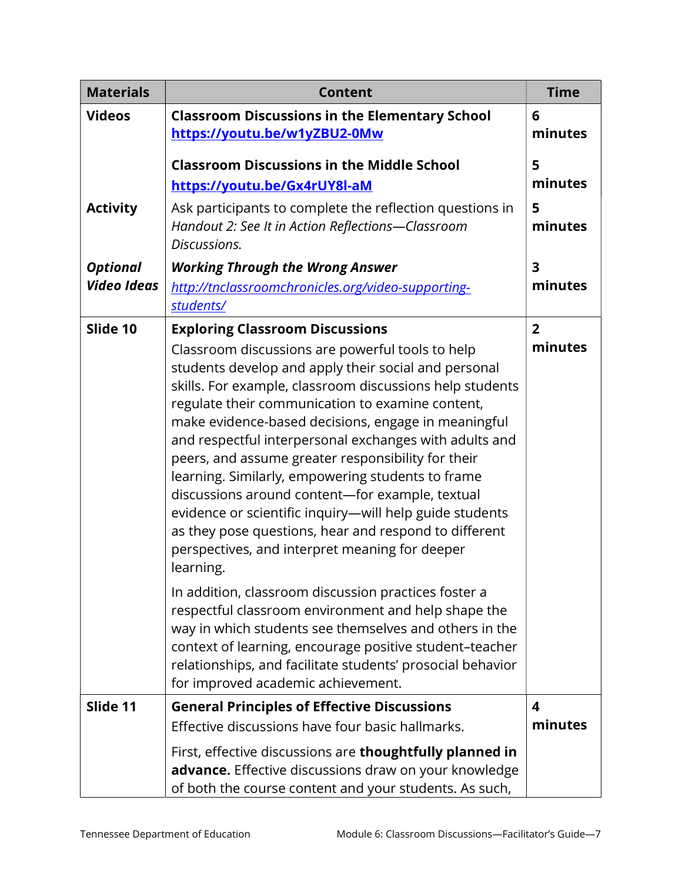| <b>Materials</b>                      | <b>Content</b>                                                                                                                                                                                                                                                                                                                                                                                                                                                                                                                                                                                                                                                                                                                       | <b>Time</b>               |
|---------------------------------------|--------------------------------------------------------------------------------------------------------------------------------------------------------------------------------------------------------------------------------------------------------------------------------------------------------------------------------------------------------------------------------------------------------------------------------------------------------------------------------------------------------------------------------------------------------------------------------------------------------------------------------------------------------------------------------------------------------------------------------------|---------------------------|
| <b>Videos</b>                         | <b>Classroom Discussions in the Elementary School</b><br>https://youtu.be/w1yZBU2-0Mw                                                                                                                                                                                                                                                                                                                                                                                                                                                                                                                                                                                                                                                | 6<br>minutes              |
|                                       | <b>Classroom Discussions in the Middle School</b><br>https://youtu.be/Gx4rUY8l-aM                                                                                                                                                                                                                                                                                                                                                                                                                                                                                                                                                                                                                                                    | 5<br>minutes              |
| <b>Activity</b>                       | Ask participants to complete the reflection questions in<br>Handout 2: See It in Action Reflections-Classroom<br>Discussions.                                                                                                                                                                                                                                                                                                                                                                                                                                                                                                                                                                                                        | 5<br>minutes              |
| <b>Optional</b><br><b>Video Ideas</b> | <b>Working Through the Wrong Answer</b><br>http://tnclassroomchronicles.org/video-supporting-<br>students/                                                                                                                                                                                                                                                                                                                                                                                                                                                                                                                                                                                                                           | 3<br>minutes              |
| Slide 10                              | <b>Exploring Classroom Discussions</b><br>Classroom discussions are powerful tools to help<br>students develop and apply their social and personal<br>skills. For example, classroom discussions help students<br>regulate their communication to examine content,<br>make evidence-based decisions, engage in meaningful<br>and respectful interpersonal exchanges with adults and<br>peers, and assume greater responsibility for their<br>learning. Similarly, empowering students to frame<br>discussions around content-for example, textual<br>evidence or scientific inquiry-will help guide students<br>as they pose questions, hear and respond to different<br>perspectives, and interpret meaning for deeper<br>learning. | $\overline{2}$<br>minutes |
|                                       | In addition, classroom discussion practices foster a<br>respectful classroom environment and help shape the<br>way in which students see themselves and others in the<br>context of learning, encourage positive student-teacher<br>relationships, and facilitate students' prosocial behavior<br>for improved academic achievement.                                                                                                                                                                                                                                                                                                                                                                                                 |                           |
| Slide 11                              | <b>General Principles of Effective Discussions</b><br>Effective discussions have four basic hallmarks.<br>First, effective discussions are thoughtfully planned in                                                                                                                                                                                                                                                                                                                                                                                                                                                                                                                                                                   | 4<br>minutes              |
|                                       | advance. Effective discussions draw on your knowledge<br>of both the course content and your students. As such,                                                                                                                                                                                                                                                                                                                                                                                                                                                                                                                                                                                                                      |                           |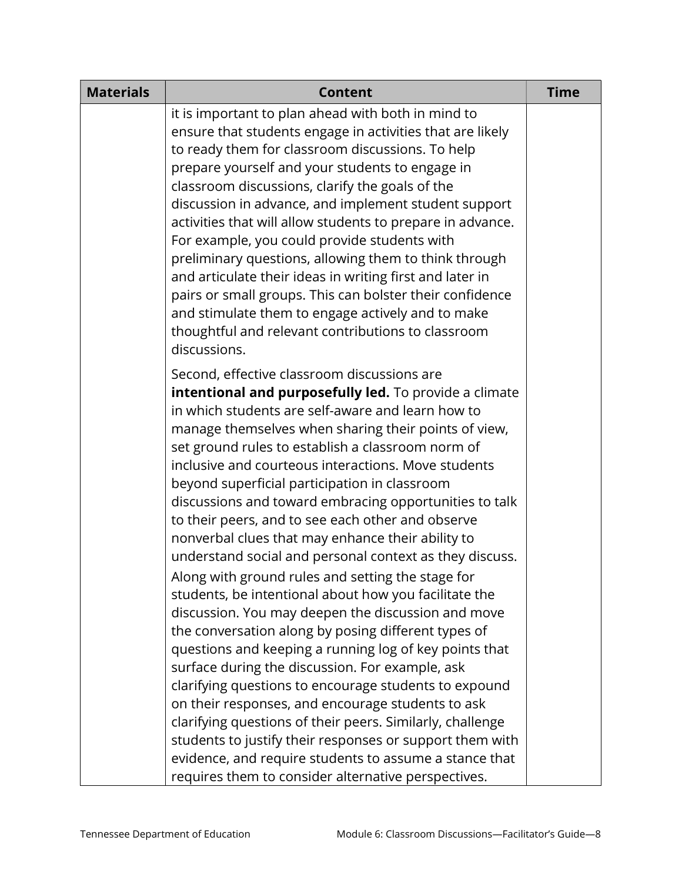| <b>Materials</b> | <b>Content</b>                                                                                                                                                                                                                                                                                                                                                                                                                                                                                                                                                                                                                                                                                                                                                                                                                                                                                                                                                                                                                                                                                                                                                                                | <b>Time</b> |
|------------------|-----------------------------------------------------------------------------------------------------------------------------------------------------------------------------------------------------------------------------------------------------------------------------------------------------------------------------------------------------------------------------------------------------------------------------------------------------------------------------------------------------------------------------------------------------------------------------------------------------------------------------------------------------------------------------------------------------------------------------------------------------------------------------------------------------------------------------------------------------------------------------------------------------------------------------------------------------------------------------------------------------------------------------------------------------------------------------------------------------------------------------------------------------------------------------------------------|-------------|
|                  | it is important to plan ahead with both in mind to<br>ensure that students engage in activities that are likely<br>to ready them for classroom discussions. To help<br>prepare yourself and your students to engage in<br>classroom discussions, clarify the goals of the<br>discussion in advance, and implement student support<br>activities that will allow students to prepare in advance.<br>For example, you could provide students with<br>preliminary questions, allowing them to think through<br>and articulate their ideas in writing first and later in<br>pairs or small groups. This can bolster their confidence<br>and stimulate them to engage actively and to make<br>thoughtful and relevant contributions to classroom<br>discussions.                                                                                                                                                                                                                                                                                                                                                                                                                                   |             |
|                  | Second, effective classroom discussions are<br>intentional and purposefully led. To provide a climate<br>in which students are self-aware and learn how to<br>manage themselves when sharing their points of view,<br>set ground rules to establish a classroom norm of<br>inclusive and courteous interactions. Move students<br>beyond superficial participation in classroom<br>discussions and toward embracing opportunities to talk<br>to their peers, and to see each other and observe<br>nonverbal clues that may enhance their ability to<br>understand social and personal context as they discuss.<br>Along with ground rules and setting the stage for<br>students, be intentional about how you facilitate the<br>discussion. You may deepen the discussion and move<br>the conversation along by posing different types of<br>questions and keeping a running log of key points that<br>surface during the discussion. For example, ask<br>clarifying questions to encourage students to expound<br>on their responses, and encourage students to ask<br>clarifying questions of their peers. Similarly, challenge<br>students to justify their responses or support them with |             |
|                  | evidence, and require students to assume a stance that<br>requires them to consider alternative perspectives.                                                                                                                                                                                                                                                                                                                                                                                                                                                                                                                                                                                                                                                                                                                                                                                                                                                                                                                                                                                                                                                                                 |             |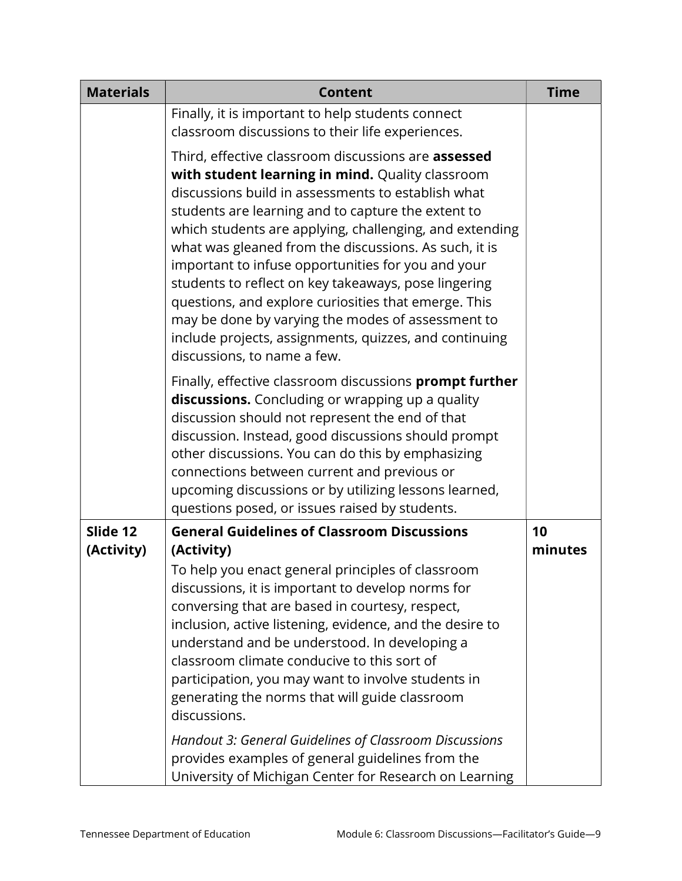| <b>Materials</b>       | <b>Content</b>                                                                                                                                                                                                                                                                                                                                                                                                                                                                                                                                                                                                                                              | <b>Time</b>   |
|------------------------|-------------------------------------------------------------------------------------------------------------------------------------------------------------------------------------------------------------------------------------------------------------------------------------------------------------------------------------------------------------------------------------------------------------------------------------------------------------------------------------------------------------------------------------------------------------------------------------------------------------------------------------------------------------|---------------|
|                        | Finally, it is important to help students connect<br>classroom discussions to their life experiences.                                                                                                                                                                                                                                                                                                                                                                                                                                                                                                                                                       |               |
|                        | Third, effective classroom discussions are assessed<br>with student learning in mind. Quality classroom<br>discussions build in assessments to establish what<br>students are learning and to capture the extent to<br>which students are applying, challenging, and extending<br>what was gleaned from the discussions. As such, it is<br>important to infuse opportunities for you and your<br>students to reflect on key takeaways, pose lingering<br>questions, and explore curiosities that emerge. This<br>may be done by varying the modes of assessment to<br>include projects, assignments, quizzes, and continuing<br>discussions, to name a few. |               |
|                        | Finally, effective classroom discussions prompt further<br>discussions. Concluding or wrapping up a quality<br>discussion should not represent the end of that<br>discussion. Instead, good discussions should prompt<br>other discussions. You can do this by emphasizing<br>connections between current and previous or<br>upcoming discussions or by utilizing lessons learned,<br>questions posed, or issues raised by students.                                                                                                                                                                                                                        |               |
| Slide 12<br>(Activity) | <b>General Guidelines of Classroom Discussions</b><br>(Activity)<br>To help you enact general principles of classroom<br>discussions, it is important to develop norms for<br>conversing that are based in courtesy, respect,<br>inclusion, active listening, evidence, and the desire to<br>understand and be understood. In developing a<br>classroom climate conducive to this sort of<br>participation, you may want to involve students in<br>generating the norms that will guide classroom<br>discussions.<br>Handout 3: General Guidelines of Classroom Discussions                                                                                 | 10<br>minutes |
|                        | provides examples of general guidelines from the<br>University of Michigan Center for Research on Learning                                                                                                                                                                                                                                                                                                                                                                                                                                                                                                                                                  |               |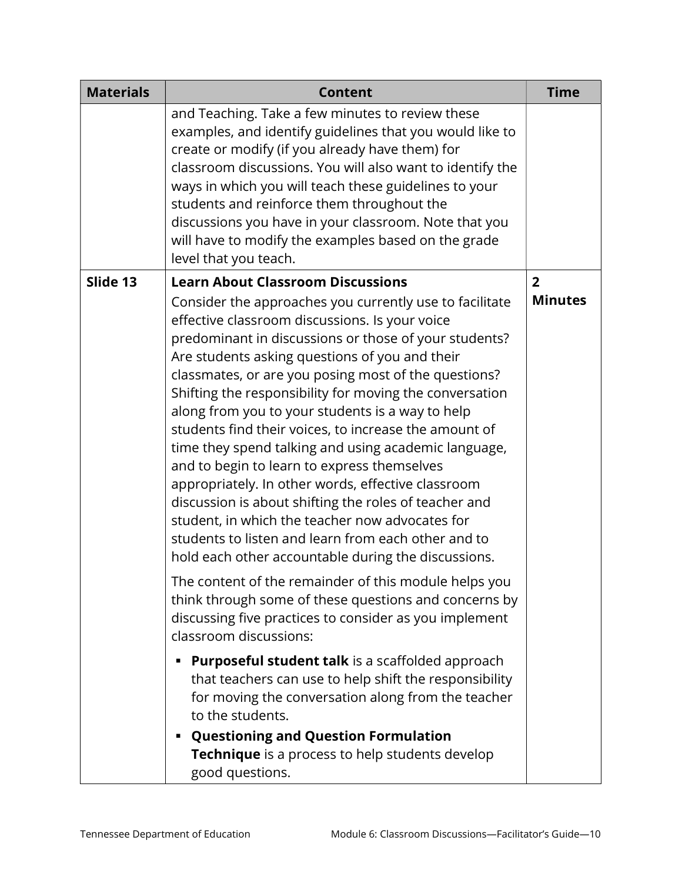| <b>Materials</b> | <b>Content</b>                                                                                                                                                                                                                                                                                                                                                                                                                                                                                                                                                                                                                                                                                                                                                                   | <b>Time</b>                      |
|------------------|----------------------------------------------------------------------------------------------------------------------------------------------------------------------------------------------------------------------------------------------------------------------------------------------------------------------------------------------------------------------------------------------------------------------------------------------------------------------------------------------------------------------------------------------------------------------------------------------------------------------------------------------------------------------------------------------------------------------------------------------------------------------------------|----------------------------------|
|                  | and Teaching. Take a few minutes to review these<br>examples, and identify guidelines that you would like to<br>create or modify (if you already have them) for<br>classroom discussions. You will also want to identify the<br>ways in which you will teach these guidelines to your<br>students and reinforce them throughout the<br>discussions you have in your classroom. Note that you<br>will have to modify the examples based on the grade<br>level that you teach.                                                                                                                                                                                                                                                                                                     |                                  |
| Slide 13         | <b>Learn About Classroom Discussions</b><br>Consider the approaches you currently use to facilitate                                                                                                                                                                                                                                                                                                                                                                                                                                                                                                                                                                                                                                                                              | $\overline{2}$<br><b>Minutes</b> |
|                  | effective classroom discussions. Is your voice<br>predominant in discussions or those of your students?<br>Are students asking questions of you and their<br>classmates, or are you posing most of the questions?<br>Shifting the responsibility for moving the conversation<br>along from you to your students is a way to help<br>students find their voices, to increase the amount of<br>time they spend talking and using academic language,<br>and to begin to learn to express themselves<br>appropriately. In other words, effective classroom<br>discussion is about shifting the roles of teacher and<br>student, in which the teacher now advocates for<br>students to listen and learn from each other and to<br>hold each other accountable during the discussions. |                                  |
|                  | The content of the remainder of this module helps you<br>think through some of these questions and concerns by<br>discussing five practices to consider as you implement<br>classroom discussions:                                                                                                                                                                                                                                                                                                                                                                                                                                                                                                                                                                               |                                  |
|                  | <b>Purposeful student talk</b> is a scaffolded approach<br>that teachers can use to help shift the responsibility<br>for moving the conversation along from the teacher<br>to the students.<br><b>Questioning and Question Formulation</b>                                                                                                                                                                                                                                                                                                                                                                                                                                                                                                                                       |                                  |
|                  | <b>Technique</b> is a process to help students develop<br>good questions.                                                                                                                                                                                                                                                                                                                                                                                                                                                                                                                                                                                                                                                                                                        |                                  |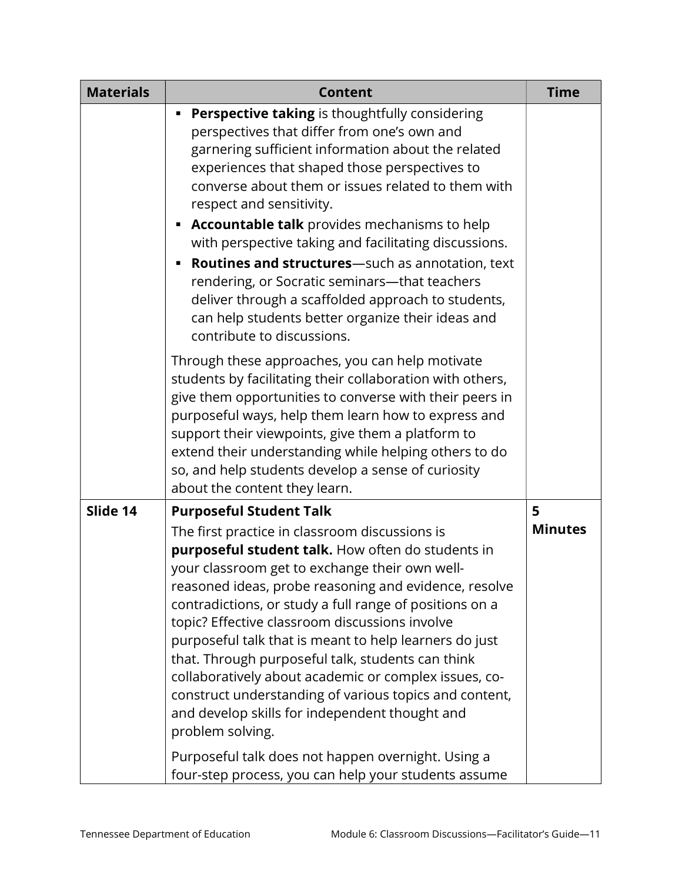| <b>Materials</b> | <b>Content</b>                                                                                                                                                                                                                                                                                                                                                                                                                                                                                                                                                                                                                                                                                                                                                                      | <b>Time</b>         |
|------------------|-------------------------------------------------------------------------------------------------------------------------------------------------------------------------------------------------------------------------------------------------------------------------------------------------------------------------------------------------------------------------------------------------------------------------------------------------------------------------------------------------------------------------------------------------------------------------------------------------------------------------------------------------------------------------------------------------------------------------------------------------------------------------------------|---------------------|
|                  | Perspective taking is thoughtfully considering<br>perspectives that differ from one's own and<br>garnering sufficient information about the related<br>experiences that shaped those perspectives to<br>converse about them or issues related to them with<br>respect and sensitivity.<br>Accountable talk provides mechanisms to help<br>with perspective taking and facilitating discussions.<br>Routines and structures-such as annotation, text<br>rendering, or Socratic seminars-that teachers<br>deliver through a scaffolded approach to students,<br>can help students better organize their ideas and<br>contribute to discussions.                                                                                                                                       |                     |
|                  | Through these approaches, you can help motivate<br>students by facilitating their collaboration with others,<br>give them opportunities to converse with their peers in<br>purposeful ways, help them learn how to express and<br>support their viewpoints, give them a platform to<br>extend their understanding while helping others to do<br>so, and help students develop a sense of curiosity<br>about the content they learn.                                                                                                                                                                                                                                                                                                                                                 |                     |
| Slide 14         | <b>Purposeful Student Talk</b><br>The first practice in classroom discussions is<br>purposeful student talk. How often do students in<br>your classroom get to exchange their own well-<br>reasoned ideas, probe reasoning and evidence, resolve<br>contradictions, or study a full range of positions on a<br>topic? Effective classroom discussions involve<br>purposeful talk that is meant to help learners do just<br>that. Through purposeful talk, students can think<br>collaboratively about academic or complex issues, co-<br>construct understanding of various topics and content,<br>and develop skills for independent thought and<br>problem solving.<br>Purposeful talk does not happen overnight. Using a<br>four-step process, you can help your students assume | 5<br><b>Minutes</b> |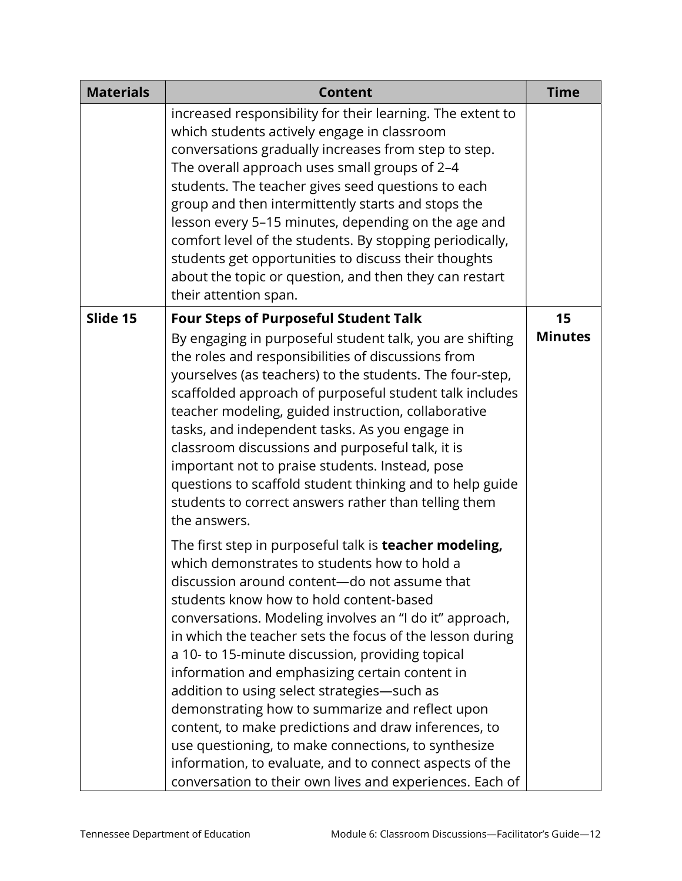| <b>Materials</b> | <b>Content</b>                                                                                                                                                                                                                                                                                                                                                                                                                                                                                                                                                                                                                                                                                                                                                                | <b>Time</b>    |
|------------------|-------------------------------------------------------------------------------------------------------------------------------------------------------------------------------------------------------------------------------------------------------------------------------------------------------------------------------------------------------------------------------------------------------------------------------------------------------------------------------------------------------------------------------------------------------------------------------------------------------------------------------------------------------------------------------------------------------------------------------------------------------------------------------|----------------|
|                  | increased responsibility for their learning. The extent to<br>which students actively engage in classroom<br>conversations gradually increases from step to step.<br>The overall approach uses small groups of 2-4<br>students. The teacher gives seed questions to each<br>group and then intermittently starts and stops the<br>lesson every 5-15 minutes, depending on the age and<br>comfort level of the students. By stopping periodically,<br>students get opportunities to discuss their thoughts<br>about the topic or question, and then they can restart<br>their attention span.                                                                                                                                                                                  |                |
| Slide 15         | <b>Four Steps of Purposeful Student Talk</b>                                                                                                                                                                                                                                                                                                                                                                                                                                                                                                                                                                                                                                                                                                                                  | 15             |
|                  | By engaging in purposeful student talk, you are shifting<br>the roles and responsibilities of discussions from<br>yourselves (as teachers) to the students. The four-step,<br>scaffolded approach of purposeful student talk includes<br>teacher modeling, guided instruction, collaborative<br>tasks, and independent tasks. As you engage in<br>classroom discussions and purposeful talk, it is<br>important not to praise students. Instead, pose<br>questions to scaffold student thinking and to help guide<br>students to correct answers rather than telling them<br>the answers.                                                                                                                                                                                     | <b>Minutes</b> |
|                  | The first step in purposeful talk is <b>teacher modeling,</b><br>which demonstrates to students how to hold a<br>discussion around content-do not assume that<br>students know how to hold content-based<br>conversations. Modeling involves an "I do it" approach,<br>in which the teacher sets the focus of the lesson during<br>a 10- to 15-minute discussion, providing topical<br>information and emphasizing certain content in<br>addition to using select strategies-such as<br>demonstrating how to summarize and reflect upon<br>content, to make predictions and draw inferences, to<br>use questioning, to make connections, to synthesize<br>information, to evaluate, and to connect aspects of the<br>conversation to their own lives and experiences. Each of |                |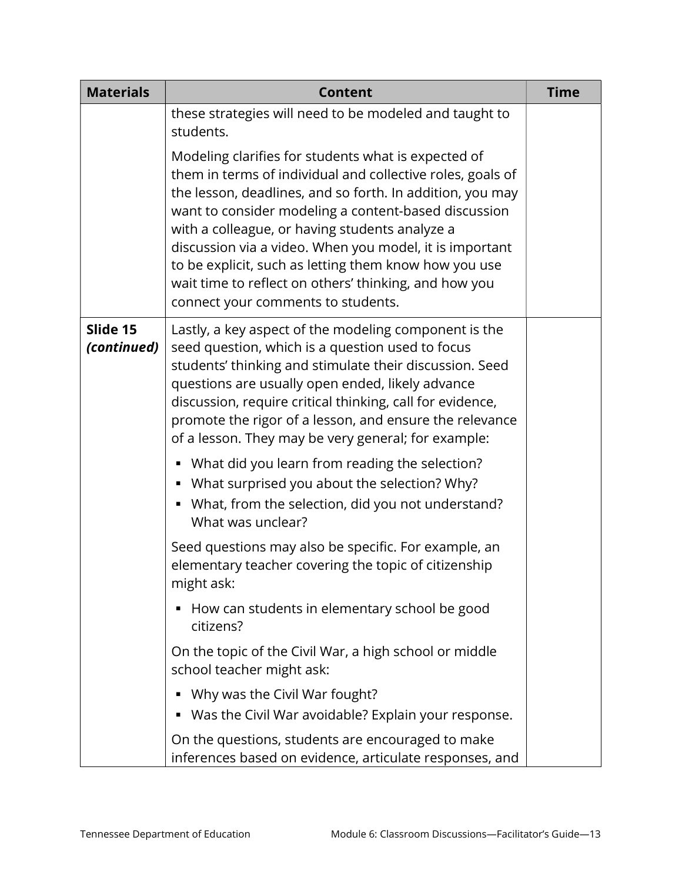| <b>Materials</b>        | <b>Content</b>                                                                                                                                                                                                                                                                                                                                                                                                                                                                                              | <b>Time</b> |
|-------------------------|-------------------------------------------------------------------------------------------------------------------------------------------------------------------------------------------------------------------------------------------------------------------------------------------------------------------------------------------------------------------------------------------------------------------------------------------------------------------------------------------------------------|-------------|
|                         | these strategies will need to be modeled and taught to<br>students.                                                                                                                                                                                                                                                                                                                                                                                                                                         |             |
|                         | Modeling clarifies for students what is expected of<br>them in terms of individual and collective roles, goals of<br>the lesson, deadlines, and so forth. In addition, you may<br>want to consider modeling a content-based discussion<br>with a colleague, or having students analyze a<br>discussion via a video. When you model, it is important<br>to be explicit, such as letting them know how you use<br>wait time to reflect on others' thinking, and how you<br>connect your comments to students. |             |
| Slide 15<br>(continued) | Lastly, a key aspect of the modeling component is the<br>seed question, which is a question used to focus<br>students' thinking and stimulate their discussion. Seed<br>questions are usually open ended, likely advance<br>discussion, require critical thinking, call for evidence,<br>promote the rigor of a lesson, and ensure the relevance<br>of a lesson. They may be very general; for example:                                                                                                     |             |
|                         | What did you learn from reading the selection?<br>What surprised you about the selection? Why?<br>• What, from the selection, did you not understand?<br>What was unclear?                                                                                                                                                                                                                                                                                                                                  |             |
|                         | Seed questions may also be specific. For example, an<br>elementary teacher covering the topic of citizenship<br>might ask:                                                                                                                                                                                                                                                                                                                                                                                  |             |
|                         | How can students in elementary school be good<br>п<br>citizens?                                                                                                                                                                                                                                                                                                                                                                                                                                             |             |
|                         | On the topic of the Civil War, a high school or middle<br>school teacher might ask:                                                                                                                                                                                                                                                                                                                                                                                                                         |             |
|                         | Why was the Civil War fought?<br>Was the Civil War avoidable? Explain your response.                                                                                                                                                                                                                                                                                                                                                                                                                        |             |
|                         | On the questions, students are encouraged to make<br>inferences based on evidence, articulate responses, and                                                                                                                                                                                                                                                                                                                                                                                                |             |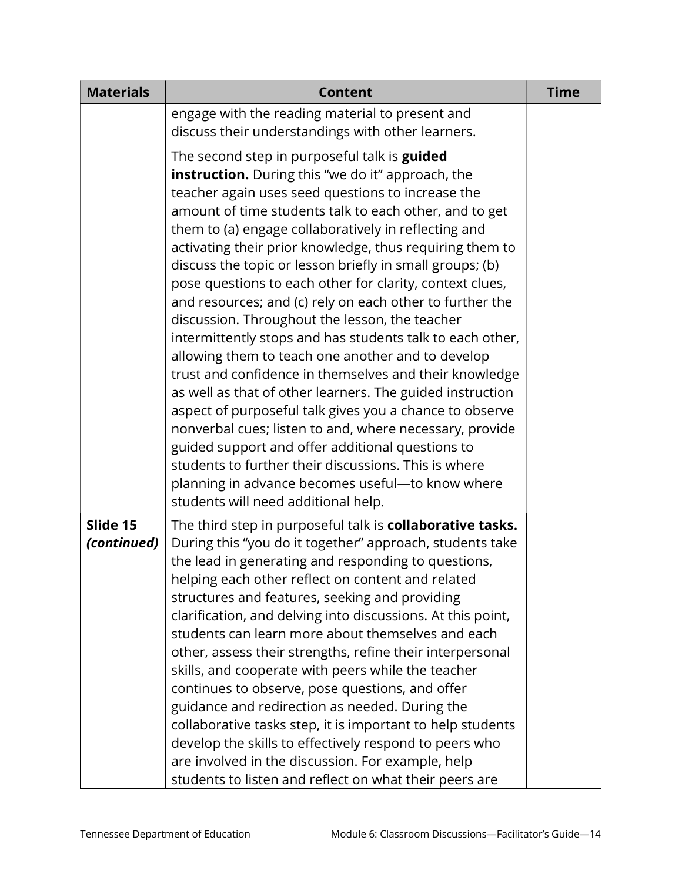| <b>Materials</b>        | <b>Content</b>                                                                                                                                                                                                                                                                                                                                                                                                                                                                                                                                                                                                                                                                                                                                                                                                                                                                                                                                                                                                                                                                                                                                          | <b>Time</b> |
|-------------------------|---------------------------------------------------------------------------------------------------------------------------------------------------------------------------------------------------------------------------------------------------------------------------------------------------------------------------------------------------------------------------------------------------------------------------------------------------------------------------------------------------------------------------------------------------------------------------------------------------------------------------------------------------------------------------------------------------------------------------------------------------------------------------------------------------------------------------------------------------------------------------------------------------------------------------------------------------------------------------------------------------------------------------------------------------------------------------------------------------------------------------------------------------------|-------------|
|                         | engage with the reading material to present and<br>discuss their understandings with other learners.                                                                                                                                                                                                                                                                                                                                                                                                                                                                                                                                                                                                                                                                                                                                                                                                                                                                                                                                                                                                                                                    |             |
|                         | The second step in purposeful talk is <b>guided</b><br>instruction. During this "we do it" approach, the<br>teacher again uses seed questions to increase the<br>amount of time students talk to each other, and to get<br>them to (a) engage collaboratively in reflecting and<br>activating their prior knowledge, thus requiring them to<br>discuss the topic or lesson briefly in small groups; (b)<br>pose questions to each other for clarity, context clues,<br>and resources; and (c) rely on each other to further the<br>discussion. Throughout the lesson, the teacher<br>intermittently stops and has students talk to each other,<br>allowing them to teach one another and to develop<br>trust and confidence in themselves and their knowledge<br>as well as that of other learners. The guided instruction<br>aspect of purposeful talk gives you a chance to observe<br>nonverbal cues; listen to and, where necessary, provide<br>guided support and offer additional questions to<br>students to further their discussions. This is where<br>planning in advance becomes useful-to know where<br>students will need additional help. |             |
| Slide 15<br>(continued) | The third step in purposeful talk is collaborative tasks.<br>During this "you do it together" approach, students take<br>the lead in generating and responding to questions,<br>helping each other reflect on content and related<br>structures and features, seeking and providing<br>clarification, and delving into discussions. At this point,<br>students can learn more about themselves and each<br>other, assess their strengths, refine their interpersonal<br>skills, and cooperate with peers while the teacher<br>continues to observe, pose questions, and offer<br>guidance and redirection as needed. During the<br>collaborative tasks step, it is important to help students<br>develop the skills to effectively respond to peers who<br>are involved in the discussion. For example, help<br>students to listen and reflect on what their peers are                                                                                                                                                                                                                                                                                  |             |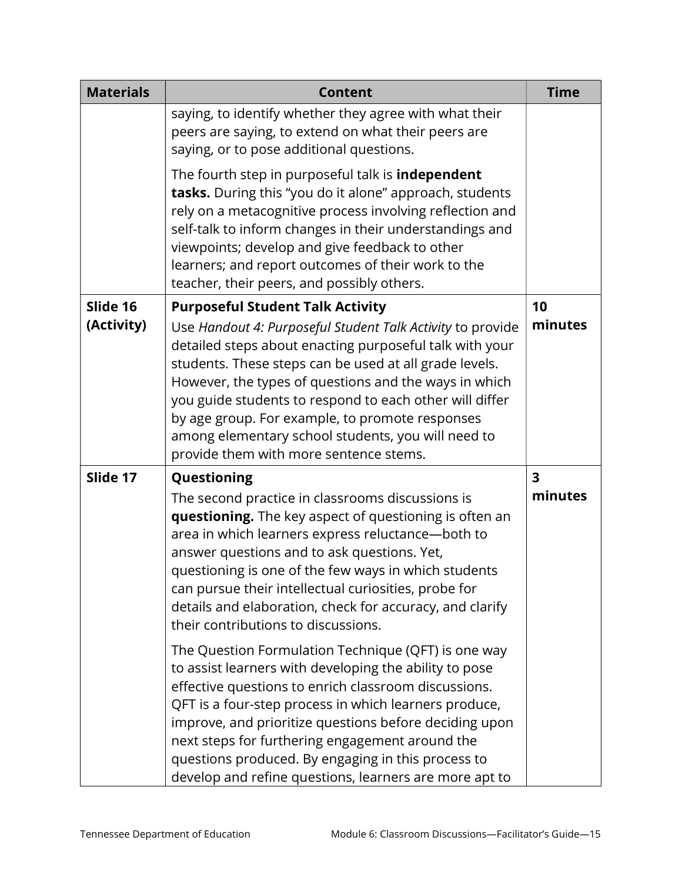| <b>Materials</b> | <b>Content</b>                                                                                                                                                                                                                                                                                                                                                                                                                                              | <b>Time</b>  |
|------------------|-------------------------------------------------------------------------------------------------------------------------------------------------------------------------------------------------------------------------------------------------------------------------------------------------------------------------------------------------------------------------------------------------------------------------------------------------------------|--------------|
|                  | saying, to identify whether they agree with what their<br>peers are saying, to extend on what their peers are<br>saying, or to pose additional questions.                                                                                                                                                                                                                                                                                                   |              |
|                  | The fourth step in purposeful talk is <b>independent</b><br>tasks. During this "you do it alone" approach, students<br>rely on a metacognitive process involving reflection and<br>self-talk to inform changes in their understandings and<br>viewpoints; develop and give feedback to other<br>learners; and report outcomes of their work to the<br>teacher, their peers, and possibly others.                                                            |              |
| Slide 16         | <b>Purposeful Student Talk Activity</b>                                                                                                                                                                                                                                                                                                                                                                                                                     | 10           |
| (Activity)       | Use Handout 4: Purposeful Student Talk Activity to provide<br>detailed steps about enacting purposeful talk with your<br>students. These steps can be used at all grade levels.<br>However, the types of questions and the ways in which<br>you guide students to respond to each other will differ<br>by age group. For example, to promote responses<br>among elementary school students, you will need to<br>provide them with more sentence stems.      | minutes      |
| Slide 17         | Questioning                                                                                                                                                                                                                                                                                                                                                                                                                                                 | $\mathbf{3}$ |
|                  | The second practice in classrooms discussions is<br>questioning. The key aspect of questioning is often an<br>area in which learners express reluctance-both to<br>answer questions and to ask questions. Yet,<br>questioning is one of the few ways in which students<br>can pursue their intellectual curiosities, probe for<br>details and elaboration, check for accuracy, and clarify<br>their contributions to discussions.                           | minutes      |
|                  | The Question Formulation Technique (QFT) is one way<br>to assist learners with developing the ability to pose<br>effective questions to enrich classroom discussions.<br>QFT is a four-step process in which learners produce,<br>improve, and prioritize questions before deciding upon<br>next steps for furthering engagement around the<br>questions produced. By engaging in this process to<br>develop and refine questions, learners are more apt to |              |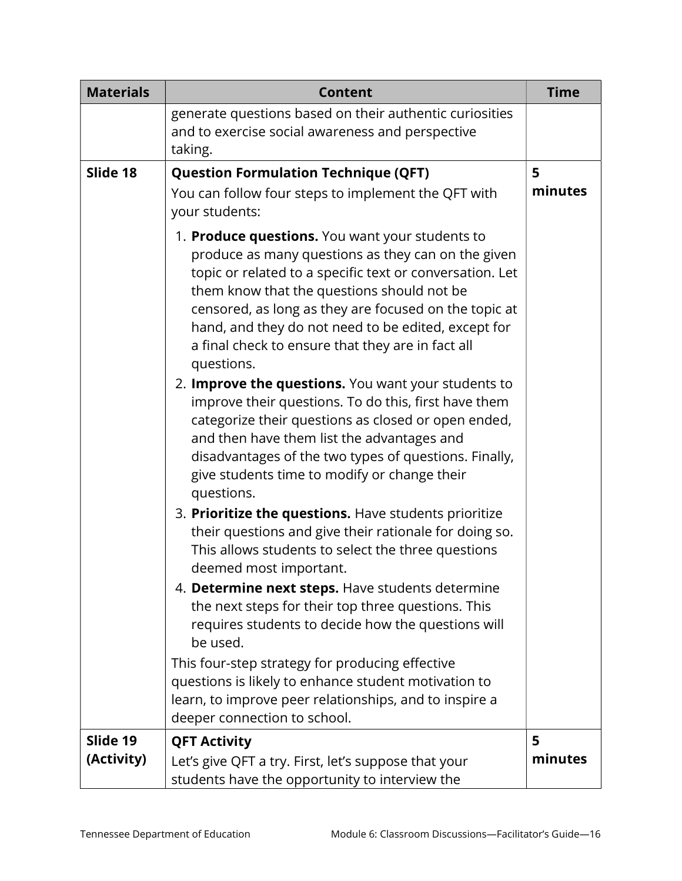| <b>Materials</b> | <b>Content</b>                                                                                                                                                                                                                                                                                                                                                                                                                                            | <b>Time</b> |
|------------------|-----------------------------------------------------------------------------------------------------------------------------------------------------------------------------------------------------------------------------------------------------------------------------------------------------------------------------------------------------------------------------------------------------------------------------------------------------------|-------------|
|                  | generate questions based on their authentic curiosities<br>and to exercise social awareness and perspective<br>taking.                                                                                                                                                                                                                                                                                                                                    |             |
| Slide 18         | <b>Question Formulation Technique (QFT)</b>                                                                                                                                                                                                                                                                                                                                                                                                               | 5           |
|                  | You can follow four steps to implement the QFT with<br>your students:                                                                                                                                                                                                                                                                                                                                                                                     | minutes     |
|                  | 1. Produce questions. You want your students to<br>produce as many questions as they can on the given<br>topic or related to a specific text or conversation. Let<br>them know that the questions should not be<br>censored, as long as they are focused on the topic at<br>hand, and they do not need to be edited, except for<br>a final check to ensure that they are in fact all<br>questions.<br>2. Improve the questions. You want your students to |             |
|                  | improve their questions. To do this, first have them<br>categorize their questions as closed or open ended,<br>and then have them list the advantages and<br>disadvantages of the two types of questions. Finally,<br>give students time to modify or change their<br>questions.                                                                                                                                                                          |             |
|                  | 3. Prioritize the questions. Have students prioritize<br>their questions and give their rationale for doing so.<br>This allows students to select the three questions<br>deemed most important.                                                                                                                                                                                                                                                           |             |
|                  | 4. Determine next steps. Have students determine<br>the next steps for their top three questions. This<br>requires students to decide how the questions will<br>be used.                                                                                                                                                                                                                                                                                  |             |
|                  | This four-step strategy for producing effective<br>questions is likely to enhance student motivation to<br>learn, to improve peer relationships, and to inspire a<br>deeper connection to school.                                                                                                                                                                                                                                                         |             |
| Slide 19         | <b>QFT Activity</b>                                                                                                                                                                                                                                                                                                                                                                                                                                       | 5           |
| (Activity)       | Let's give QFT a try. First, let's suppose that your<br>students have the opportunity to interview the                                                                                                                                                                                                                                                                                                                                                    | minutes     |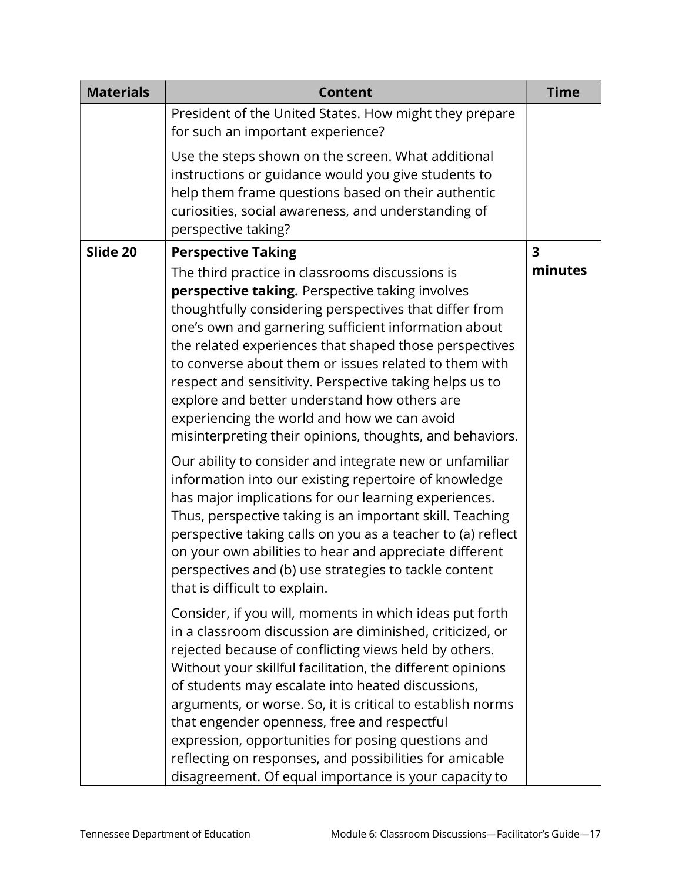| <b>Materials</b> | <b>Content</b>                                                                                                                                                                                                                                                                                                                                                                                                                                                                                                                                                                         | <b>Time</b> |
|------------------|----------------------------------------------------------------------------------------------------------------------------------------------------------------------------------------------------------------------------------------------------------------------------------------------------------------------------------------------------------------------------------------------------------------------------------------------------------------------------------------------------------------------------------------------------------------------------------------|-------------|
|                  | President of the United States. How might they prepare<br>for such an important experience?                                                                                                                                                                                                                                                                                                                                                                                                                                                                                            |             |
|                  | Use the steps shown on the screen. What additional<br>instructions or guidance would you give students to<br>help them frame questions based on their authentic<br>curiosities, social awareness, and understanding of<br>perspective taking?                                                                                                                                                                                                                                                                                                                                          |             |
| Slide 20         | <b>Perspective Taking</b>                                                                                                                                                                                                                                                                                                                                                                                                                                                                                                                                                              | 3           |
|                  | The third practice in classrooms discussions is<br>perspective taking. Perspective taking involves<br>thoughtfully considering perspectives that differ from<br>one's own and garnering sufficient information about<br>the related experiences that shaped those perspectives<br>to converse about them or issues related to them with<br>respect and sensitivity. Perspective taking helps us to<br>explore and better understand how others are<br>experiencing the world and how we can avoid<br>misinterpreting their opinions, thoughts, and behaviors.                          | minutes     |
|                  | Our ability to consider and integrate new or unfamiliar<br>information into our existing repertoire of knowledge<br>has major implications for our learning experiences.<br>Thus, perspective taking is an important skill. Teaching<br>perspective taking calls on you as a teacher to (a) reflect<br>on your own abilities to hear and appreciate different<br>perspectives and (b) use strategies to tackle content<br>that is difficult to explain.                                                                                                                                |             |
|                  | Consider, if you will, moments in which ideas put forth<br>in a classroom discussion are diminished, criticized, or<br>rejected because of conflicting views held by others.<br>Without your skillful facilitation, the different opinions<br>of students may escalate into heated discussions,<br>arguments, or worse. So, it is critical to establish norms<br>that engender openness, free and respectful<br>expression, opportunities for posing questions and<br>reflecting on responses, and possibilities for amicable<br>disagreement. Of equal importance is your capacity to |             |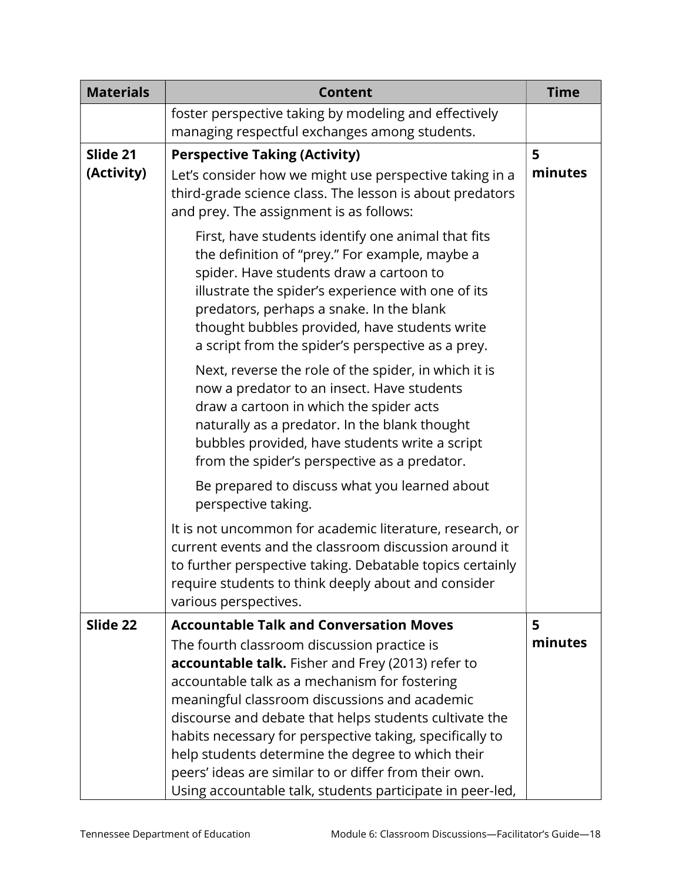| <b>Materials</b>       | <b>Content</b>                                                                                                                                                                                                                                                                                                                                                                                                                                                                           | <b>Time</b>  |
|------------------------|------------------------------------------------------------------------------------------------------------------------------------------------------------------------------------------------------------------------------------------------------------------------------------------------------------------------------------------------------------------------------------------------------------------------------------------------------------------------------------------|--------------|
|                        | foster perspective taking by modeling and effectively<br>managing respectful exchanges among students.                                                                                                                                                                                                                                                                                                                                                                                   |              |
| Slide 21<br>(Activity) | <b>Perspective Taking (Activity)</b><br>Let's consider how we might use perspective taking in a<br>third-grade science class. The lesson is about predators<br>and prey. The assignment is as follows:                                                                                                                                                                                                                                                                                   | 5<br>minutes |
|                        | First, have students identify one animal that fits<br>the definition of "prey." For example, maybe a<br>spider. Have students draw a cartoon to<br>illustrate the spider's experience with one of its<br>predators, perhaps a snake. In the blank<br>thought bubbles provided, have students write<br>a script from the spider's perspective as a prey.                                                                                                                                  |              |
|                        | Next, reverse the role of the spider, in which it is<br>now a predator to an insect. Have students<br>draw a cartoon in which the spider acts<br>naturally as a predator. In the blank thought<br>bubbles provided, have students write a script<br>from the spider's perspective as a predator.                                                                                                                                                                                         |              |
|                        | Be prepared to discuss what you learned about<br>perspective taking.                                                                                                                                                                                                                                                                                                                                                                                                                     |              |
|                        | It is not uncommon for academic literature, research, or<br>current events and the classroom discussion around it<br>to further perspective taking. Debatable topics certainly<br>require students to think deeply about and consider<br>various perspectives.                                                                                                                                                                                                                           |              |
| Slide 22               | <b>Accountable Talk and Conversation Moves</b><br>The fourth classroom discussion practice is<br>accountable talk. Fisher and Frey (2013) refer to<br>accountable talk as a mechanism for fostering<br>meaningful classroom discussions and academic<br>discourse and debate that helps students cultivate the<br>habits necessary for perspective taking, specifically to<br>help students determine the degree to which their<br>peers' ideas are similar to or differ from their own. | 5<br>minutes |
|                        | Using accountable talk, students participate in peer-led,                                                                                                                                                                                                                                                                                                                                                                                                                                |              |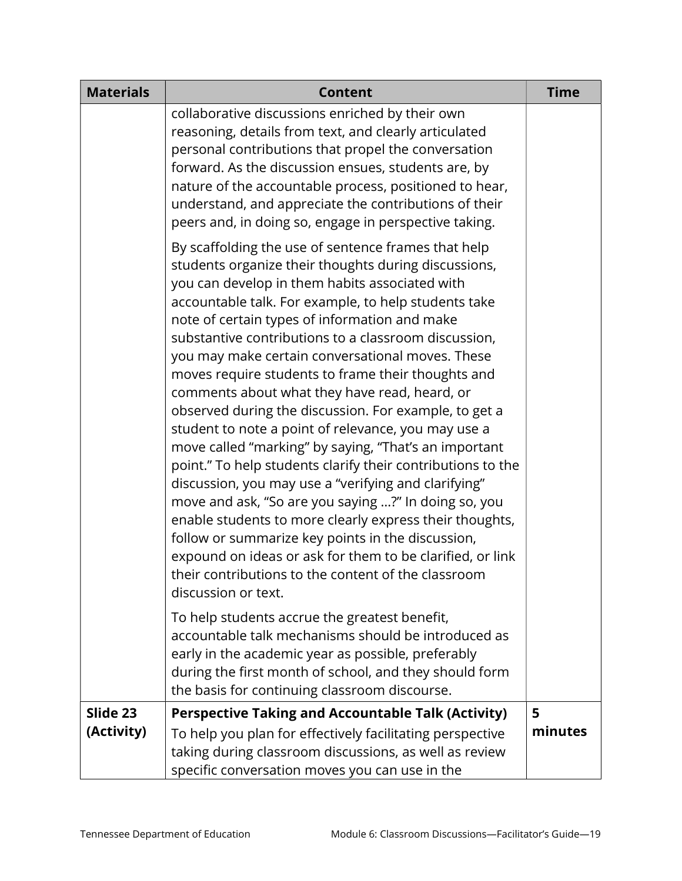| <b>Materials</b>       | <b>Content</b>                                                                                                                                                                                                                                                                                                                                                                                                                                                                                                                                                                                                                                                                                                                                                                                                                                                                                                                                                                                                                                                                                               | <b>Time</b>  |
|------------------------|--------------------------------------------------------------------------------------------------------------------------------------------------------------------------------------------------------------------------------------------------------------------------------------------------------------------------------------------------------------------------------------------------------------------------------------------------------------------------------------------------------------------------------------------------------------------------------------------------------------------------------------------------------------------------------------------------------------------------------------------------------------------------------------------------------------------------------------------------------------------------------------------------------------------------------------------------------------------------------------------------------------------------------------------------------------------------------------------------------------|--------------|
|                        | collaborative discussions enriched by their own<br>reasoning, details from text, and clearly articulated<br>personal contributions that propel the conversation<br>forward. As the discussion ensues, students are, by<br>nature of the accountable process, positioned to hear,<br>understand, and appreciate the contributions of their<br>peers and, in doing so, engage in perspective taking.                                                                                                                                                                                                                                                                                                                                                                                                                                                                                                                                                                                                                                                                                                           |              |
|                        | By scaffolding the use of sentence frames that help<br>students organize their thoughts during discussions,<br>you can develop in them habits associated with<br>accountable talk. For example, to help students take<br>note of certain types of information and make<br>substantive contributions to a classroom discussion,<br>you may make certain conversational moves. These<br>moves require students to frame their thoughts and<br>comments about what they have read, heard, or<br>observed during the discussion. For example, to get a<br>student to note a point of relevance, you may use a<br>move called "marking" by saying, "That's an important<br>point." To help students clarify their contributions to the<br>discussion, you may use a "verifying and clarifying"<br>move and ask, "So are you saying ?" In doing so, you<br>enable students to more clearly express their thoughts,<br>follow or summarize key points in the discussion,<br>expound on ideas or ask for them to be clarified, or link<br>their contributions to the content of the classroom<br>discussion or text. |              |
|                        | To help students accrue the greatest benefit,<br>accountable talk mechanisms should be introduced as<br>early in the academic year as possible, preferably<br>during the first month of school, and they should form<br>the basis for continuing classroom discourse.                                                                                                                                                                                                                                                                                                                                                                                                                                                                                                                                                                                                                                                                                                                                                                                                                                        |              |
| Slide 23<br>(Activity) | <b>Perspective Taking and Accountable Talk (Activity)</b><br>To help you plan for effectively facilitating perspective<br>taking during classroom discussions, as well as review<br>specific conversation moves you can use in the                                                                                                                                                                                                                                                                                                                                                                                                                                                                                                                                                                                                                                                                                                                                                                                                                                                                           | 5<br>minutes |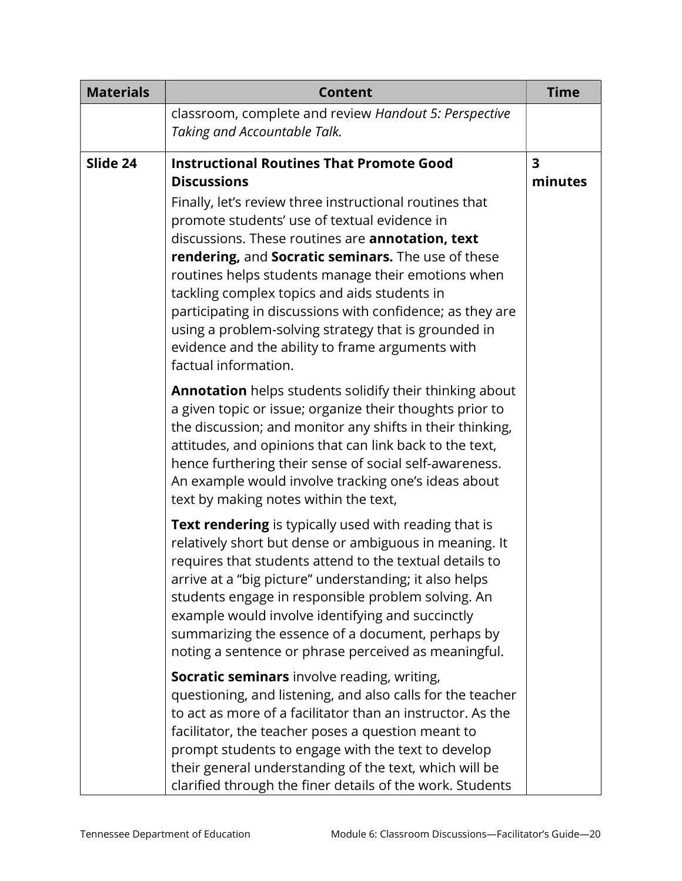| <b>Materials</b> | <b>Content</b>                                                                                                                                                                                                                                                                                                                                                                                                                                                                                                                                                                                    | <b>Time</b>                        |
|------------------|---------------------------------------------------------------------------------------------------------------------------------------------------------------------------------------------------------------------------------------------------------------------------------------------------------------------------------------------------------------------------------------------------------------------------------------------------------------------------------------------------------------------------------------------------------------------------------------------------|------------------------------------|
|                  | classroom, complete and review Handout 5: Perspective<br>Taking and Accountable Talk.                                                                                                                                                                                                                                                                                                                                                                                                                                                                                                             |                                    |
| Slide 24         | <b>Instructional Routines That Promote Good</b><br><b>Discussions</b><br>Finally, let's review three instructional routines that<br>promote students' use of textual evidence in<br>discussions. These routines are annotation, text<br>rendering, and Socratic seminars. The use of these<br>routines helps students manage their emotions when<br>tackling complex topics and aids students in<br>participating in discussions with confidence; as they are<br>using a problem-solving strategy that is grounded in<br>evidence and the ability to frame arguments with<br>factual information. | $\overline{\mathbf{3}}$<br>minutes |
|                  | Annotation helps students solidify their thinking about<br>a given topic or issue; organize their thoughts prior to<br>the discussion; and monitor any shifts in their thinking,<br>attitudes, and opinions that can link back to the text,<br>hence furthering their sense of social self-awareness.<br>An example would involve tracking one's ideas about<br>text by making notes within the text,                                                                                                                                                                                             |                                    |
|                  | Text rendering is typically used with reading that is<br>relatively short but dense or ambiguous in meaning. It<br>requires that students attend to the textual details to<br>arrive at a "big picture" understanding; it also helps<br>students engage in responsible problem solving. An<br>example would involve identifying and succinctly<br>summarizing the essence of a document, perhaps by<br>noting a sentence or phrase perceived as meaningful.                                                                                                                                       |                                    |
|                  | Socratic seminars involve reading, writing,<br>questioning, and listening, and also calls for the teacher<br>to act as more of a facilitator than an instructor. As the<br>facilitator, the teacher poses a question meant to<br>prompt students to engage with the text to develop<br>their general understanding of the text, which will be<br>clarified through the finer details of the work. Students                                                                                                                                                                                        |                                    |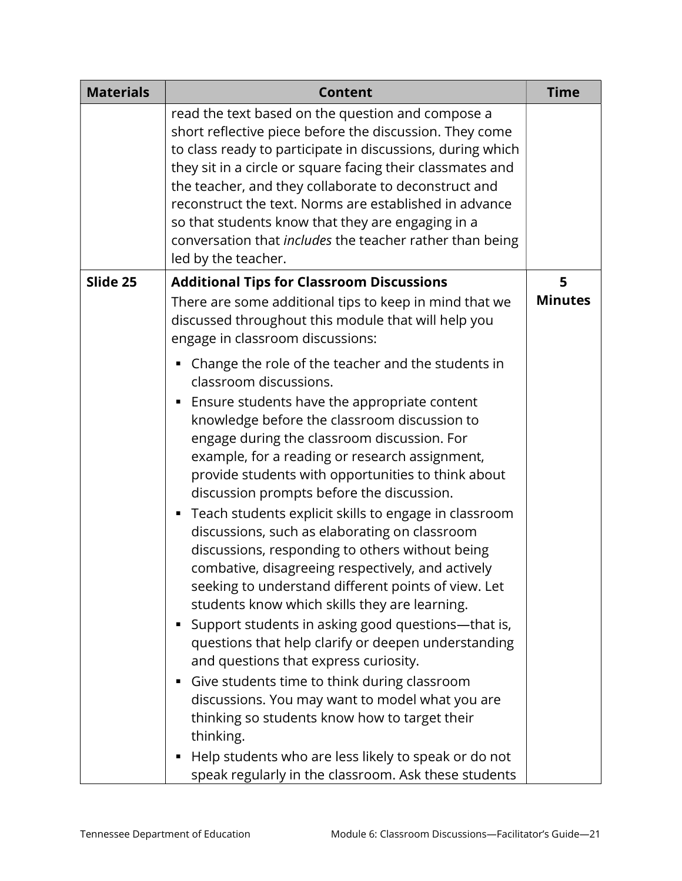| <b>Materials</b> | <b>Content</b>                                                                                                                                                                                                                                                                                                                                                                                                                                                                                                                                                                                                                       | <b>Time</b>    |
|------------------|--------------------------------------------------------------------------------------------------------------------------------------------------------------------------------------------------------------------------------------------------------------------------------------------------------------------------------------------------------------------------------------------------------------------------------------------------------------------------------------------------------------------------------------------------------------------------------------------------------------------------------------|----------------|
|                  | read the text based on the question and compose a<br>short reflective piece before the discussion. They come<br>to class ready to participate in discussions, during which<br>they sit in a circle or square facing their classmates and<br>the teacher, and they collaborate to deconstruct and<br>reconstruct the text. Norms are established in advance<br>so that students know that they are engaging in a<br>conversation that includes the teacher rather than being<br>led by the teacher.                                                                                                                                   |                |
| Slide 25         | <b>Additional Tips for Classroom Discussions</b>                                                                                                                                                                                                                                                                                                                                                                                                                                                                                                                                                                                     | 5              |
|                  | There are some additional tips to keep in mind that we<br>discussed throughout this module that will help you<br>engage in classroom discussions:                                                                                                                                                                                                                                                                                                                                                                                                                                                                                    | <b>Minutes</b> |
|                  | Change the role of the teacher and the students in<br>classroom discussions.                                                                                                                                                                                                                                                                                                                                                                                                                                                                                                                                                         |                |
|                  | Ensure students have the appropriate content<br>п<br>knowledge before the classroom discussion to<br>engage during the classroom discussion. For<br>example, for a reading or research assignment,<br>provide students with opportunities to think about<br>discussion prompts before the discussion.<br>Teach students explicit skills to engage in classroom<br>٠<br>discussions, such as elaborating on classroom<br>discussions, responding to others without being<br>combative, disagreeing respectively, and actively<br>seeking to understand different points of view. Let<br>students know which skills they are learning. |                |
|                  | Support students in asking good questions-that is,<br>questions that help clarify or deepen understanding<br>and questions that express curiosity.<br>Give students time to think during classroom<br>discussions. You may want to model what you are<br>thinking so students know how to target their<br>thinking.                                                                                                                                                                                                                                                                                                                  |                |
|                  | Help students who are less likely to speak or do not<br>speak regularly in the classroom. Ask these students                                                                                                                                                                                                                                                                                                                                                                                                                                                                                                                         |                |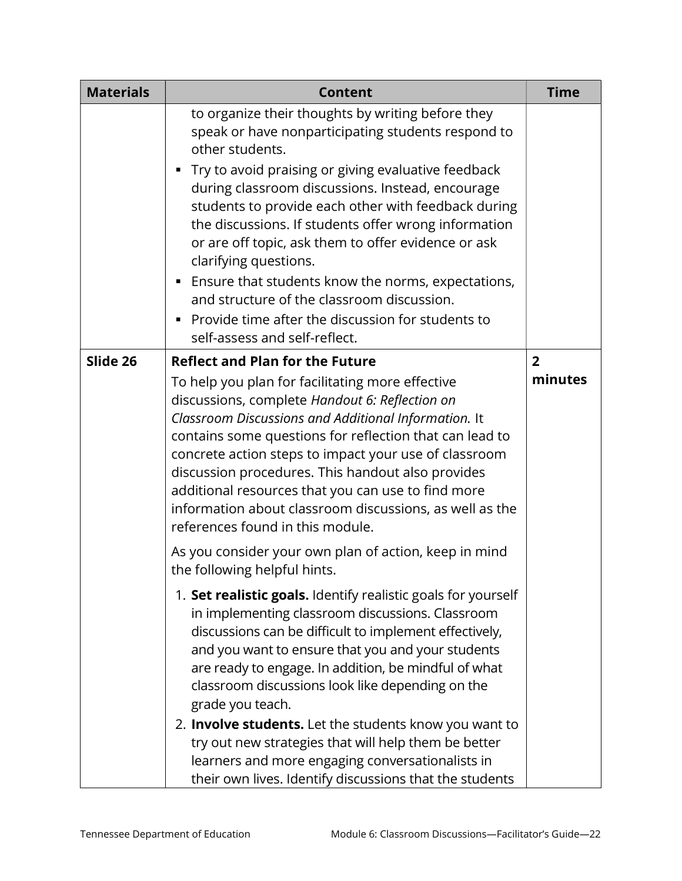| <b>Materials</b> | <b>Content</b>                                                                                                                                                                                                                                                                                                                                                                                                                                                                                                                     | <b>Time</b>               |
|------------------|------------------------------------------------------------------------------------------------------------------------------------------------------------------------------------------------------------------------------------------------------------------------------------------------------------------------------------------------------------------------------------------------------------------------------------------------------------------------------------------------------------------------------------|---------------------------|
|                  | to organize their thoughts by writing before they<br>speak or have nonparticipating students respond to<br>other students.                                                                                                                                                                                                                                                                                                                                                                                                         |                           |
|                  | Try to avoid praising or giving evaluative feedback<br>during classroom discussions. Instead, encourage<br>students to provide each other with feedback during<br>the discussions. If students offer wrong information<br>or are off topic, ask them to offer evidence or ask<br>clarifying questions.                                                                                                                                                                                                                             |                           |
|                  | ■ Ensure that students know the norms, expectations,<br>and structure of the classroom discussion.<br>Provide time after the discussion for students to                                                                                                                                                                                                                                                                                                                                                                            |                           |
|                  | self-assess and self-reflect.                                                                                                                                                                                                                                                                                                                                                                                                                                                                                                      |                           |
| Slide 26         | <b>Reflect and Plan for the Future</b><br>To help you plan for facilitating more effective<br>discussions, complete Handout 6: Reflection on<br>Classroom Discussions and Additional Information. It<br>contains some questions for reflection that can lead to<br>concrete action steps to impact your use of classroom<br>discussion procedures. This handout also provides<br>additional resources that you can use to find more<br>information about classroom discussions, as well as the<br>references found in this module. | $\overline{2}$<br>minutes |
|                  | As you consider your own plan of action, keep in mind<br>the following helpful hints.                                                                                                                                                                                                                                                                                                                                                                                                                                              |                           |
|                  | 1. Set realistic goals. Identify realistic goals for yourself<br>in implementing classroom discussions. Classroom<br>discussions can be difficult to implement effectively,<br>and you want to ensure that you and your students<br>are ready to engage. In addition, be mindful of what<br>classroom discussions look like depending on the<br>grade you teach.                                                                                                                                                                   |                           |
|                  | 2. Involve students. Let the students know you want to<br>try out new strategies that will help them be better                                                                                                                                                                                                                                                                                                                                                                                                                     |                           |
|                  | learners and more engaging conversationalists in<br>their own lives. Identify discussions that the students                                                                                                                                                                                                                                                                                                                                                                                                                        |                           |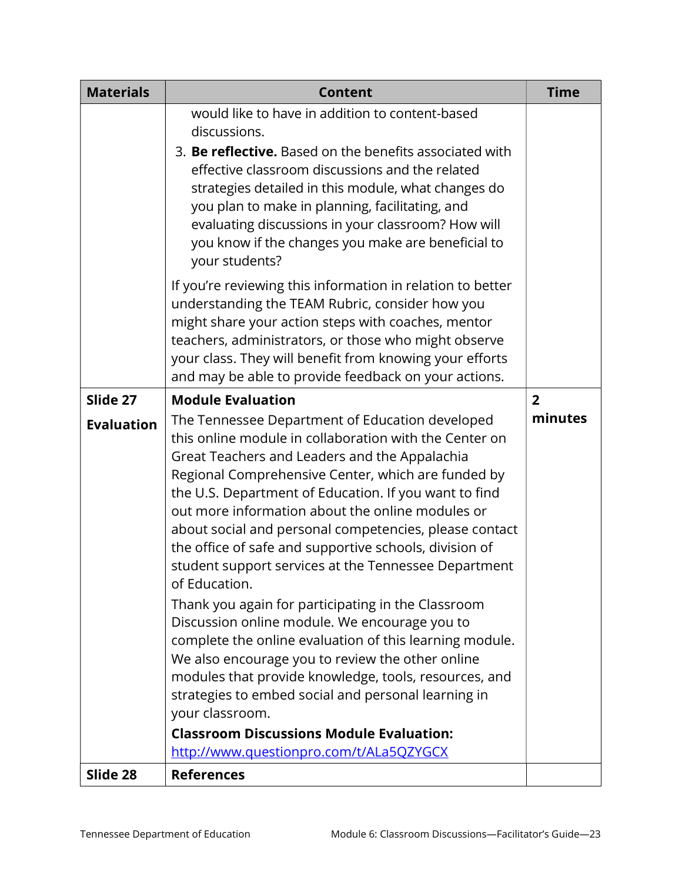| <b>Materials</b>  | <b>Content</b>                                                                                                                                                                                                                                                                                                                                                                                                                                                                                                                                                                                                                                                                                                                                                                                                                                                                                                                                                                    | <b>Time</b>    |
|-------------------|-----------------------------------------------------------------------------------------------------------------------------------------------------------------------------------------------------------------------------------------------------------------------------------------------------------------------------------------------------------------------------------------------------------------------------------------------------------------------------------------------------------------------------------------------------------------------------------------------------------------------------------------------------------------------------------------------------------------------------------------------------------------------------------------------------------------------------------------------------------------------------------------------------------------------------------------------------------------------------------|----------------|
|                   | would like to have in addition to content-based<br>discussions.                                                                                                                                                                                                                                                                                                                                                                                                                                                                                                                                                                                                                                                                                                                                                                                                                                                                                                                   |                |
|                   | 3. Be reflective. Based on the benefits associated with<br>effective classroom discussions and the related<br>strategies detailed in this module, what changes do<br>you plan to make in planning, facilitating, and<br>evaluating discussions in your classroom? How will<br>you know if the changes you make are beneficial to<br>your students?                                                                                                                                                                                                                                                                                                                                                                                                                                                                                                                                                                                                                                |                |
|                   | If you're reviewing this information in relation to better<br>understanding the TEAM Rubric, consider how you<br>might share your action steps with coaches, mentor<br>teachers, administrators, or those who might observe<br>your class. They will benefit from knowing your efforts<br>and may be able to provide feedback on your actions.                                                                                                                                                                                                                                                                                                                                                                                                                                                                                                                                                                                                                                    |                |
| Slide 27          | <b>Module Evaluation</b>                                                                                                                                                                                                                                                                                                                                                                                                                                                                                                                                                                                                                                                                                                                                                                                                                                                                                                                                                          | $\overline{2}$ |
| <b>Evaluation</b> | The Tennessee Department of Education developed<br>this online module in collaboration with the Center on<br>Great Teachers and Leaders and the Appalachia<br>Regional Comprehensive Center, which are funded by<br>the U.S. Department of Education. If you want to find<br>out more information about the online modules or<br>about social and personal competencies, please contact<br>the office of safe and supportive schools, division of<br>student support services at the Tennessee Department<br>of Education.<br>Thank you again for participating in the Classroom<br>Discussion online module. We encourage you to<br>complete the online evaluation of this learning module.<br>We also encourage you to review the other online<br>modules that provide knowledge, tools, resources, and<br>strategies to embed social and personal learning in<br>your classroom.<br><b>Classroom Discussions Module Evaluation:</b><br>http://www.questionpro.com/t/ALa5QZYGCX | minutes        |
| Slide 28          | <b>References</b>                                                                                                                                                                                                                                                                                                                                                                                                                                                                                                                                                                                                                                                                                                                                                                                                                                                                                                                                                                 |                |